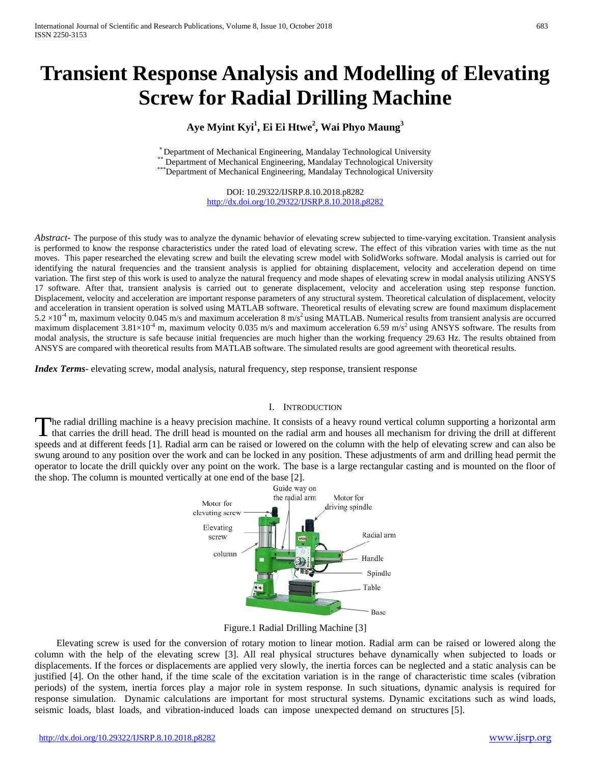# **Transient Response Analysis and Modelling of Elevating Screw for Radial Drilling Machine**

# **Aye Myint Kyi<sup>1</sup> , Ei Ei Htwe2 , Wai Phyo Maung<sup>3</sup>**

\* Department of Mechanical Engineering, Mandalay Technological University \*\* Department of Mechanical Engineering, Mandalay Technological University \*\*\*

\*\*\*Department of Mechanical Engineering, Mandalay Technological University

DOI: 10.29322/IJSRP.8.10.2018.p8282 <http://dx.doi.org/10.29322/IJSRP.8.10.2018.p8282>

*Abstract*- The purpose of this study was to analyze the dynamic behavior of elevating screw subjected to time-varying excitation. Transient analysis is performed to know the response characteristics under the rated load of elevating screw. The effect of this vibration varies with time as the nut moves. This paper researched the elevating screw and built the elevating screw model with SolidWorks software. Modal analysis is carried out for identifying the natural frequencies and the transient analysis is applied for obtaining displacement, velocity and acceleration depend on time variation. The first step of this work is used to analyze the natural frequency and mode shapes of elevating screw in modal analysis utilizing ANSYS 17 software. After that, transient analysis is carried out to generate displacement, velocity and acceleration using step response function. Displacement, velocity and acceleration are important response parameters of any structural system. Theoretical calculation of displacement, velocity and acceleration in transient operation is solved using MATLAB software. Theoretical results of elevating screw are found maximum displacement  $5.2 \times 10^{-4}$  m, maximum velocity 0.045 m/s and maximum acceleration 8 m/s<sup>2</sup> using MATLAB. Numerical results from transient analysis are occurred maximum displacement  $3.81\times10^{-4}$  m, maximum velocity 0.035 m/s and maximum acceleration 6.59 m/s<sup>2</sup> using ANSYS software. The results from modal analysis, the structure is safe because initial frequencies are much higher than the working frequency 29.63 Hz. The results obtained from ANSYS are compared with theoretical results from MATLAB software. The simulated results are good agreement with theoretical results.

*Index Terms*- elevating screw, modal analysis, natural frequency, step response, transient response

#### I. INTRODUCTION

he radial drilling machine is a heavy precision machine. It consists of a heavy round vertical column supporting a horizontal arm The radial drilling machine is a heavy precision machine. It consists of a heavy round vertical column supporting a horizontal arm that carries the drill head. The drill head is mounted on the radial arm and houses all mec speeds and at different feeds [1]. Radial arm can be raised or lowered on the column with the help of elevating screw and can also be swung around to any position over the work and can be locked in any position. These adjustments of arm and drilling head permit the operator to locate the drill quickly over any point on the work. The base is a large rectangular casting and is mounted on the floor of the shop. The column is mounted vertically at one end of the base [2].





Elevating screw is used for the conversion of rotary motion to linear motion. Radial arm can be raised or lowered along the column with the help of the elevating screw [3]. All real physical structures behave dynamically when subjected to loads or displacements. If the forces or displacements are applied very slowly, the inertia forces can be neglected and a static analysis can be justified [4]. On the other hand, if the time scale of the excitation variation is in the range of characteristic time scales (vibration periods) of the system, inertia forces play a major role in system response. In such situations, dynamic analysis is required for response simulation. Dynamic calculations are important for most structural systems. Dynamic excitations such as wind loads, seismic loads, blast loads, and vibration-induced loads can impose unexpected demand on structures [5].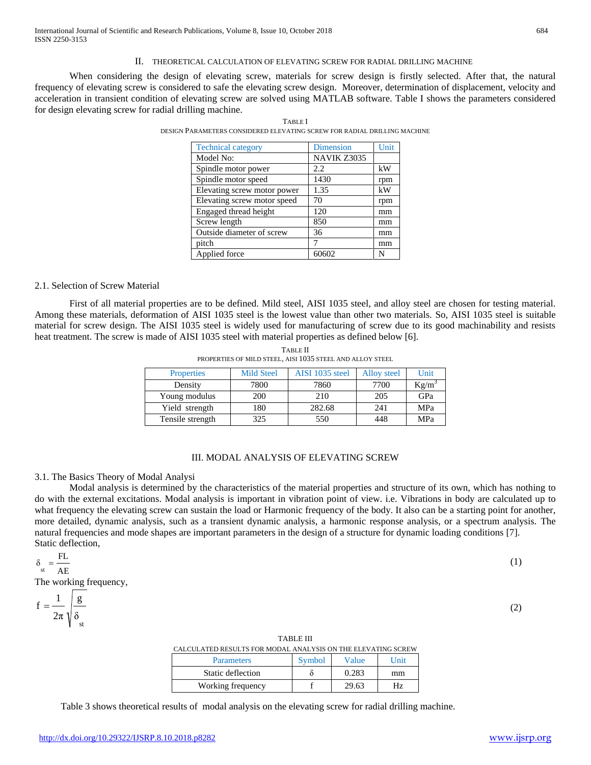#### II. THEORETICAL CALCULATION OF ELEVATING SCREW FOR RADIAL DRILLING MACHINE

When considering the design of elevating screw, materials for screw design is firstly selected. After that, the natural frequency of elevating screw is considered to safe the elevating screw design. Moreover, determination of displacement, velocity and acceleration in transient condition of elevating screw are solved using MATLAB software. Table I shows the parameters considered for design elevating screw for radial drilling machine.

| <b>Technical category</b>   | Dimension   | Unit |
|-----------------------------|-------------|------|
| Model No:                   | NAVIK Z3035 |      |
| Spindle motor power         | 2.2         | kW   |
| Spindle motor speed         | 1430        | rpm  |
| Elevating screw motor power | 1.35        | kW   |
| Elevating screw motor speed | 70          | rpm  |
| Engaged thread height       | 120         | mm   |
| Screw length                | 850         | mm   |
| Outside diameter of screw   | 36          | mm   |
| pitch                       |             | mm   |
| Applied force               | 60602       | N    |

TABLE I DESIGN PARAMETERS CONSIDERED ELEVATING SCREW FOR RADIAL DRILLING MACHINE

# 2.1. Selection of Screw Material

First of all material properties are to be defined. Mild steel, AISI 1035 steel, and alloy steel are chosen for testing material. Among these materials, deformation of AISI 1035 steel is the lowest value than other two materials. So, AISI 1035 steel is suitable material for screw design. The AISI 1035 steel is widely used for manufacturing of screw due to its good machinability and resists heat treatment. The screw is made of AISI 1035 steel with material properties as defined below [6].

| <b>Properties</b> | <b>Mild Steel</b> | AISI 1035 steel | Alloy steel | Unit     |
|-------------------|-------------------|-----------------|-------------|----------|
| Density           | 7800              | 7860            | 7700        | $Kg/m^3$ |
| Young modulus     | 200               | 210             | 205         | GPa      |
| Yield strength    | 180               | 282.68          | 241         | MPa      |
| Tensile strength  | 325               | 550             | 448         | MPa      |

TABLE II PROPERTIES OF MILD STEEL, AISI 1035 STEEL AND ALLOY STEEL

# III. MODAL ANALYSIS OF ELEVATING SCREW

### 3.1. The Basics Theory of Modal Analysi

Modal analysis is determined by the characteristics of the material properties and structure of its own, which has nothing to do with the external excitations. Modal analysis is important in vibration point of view. i.e. Vibrations in body are calculated up to what frequency the elevating screw can sustain the load or Harmonic frequency of the body. It also can be a starting point for another, more detailed, dynamic analysis, such as a transient dynamic analysis, a harmonic response analysis, or a spectrum analysis. The natural frequencies and mode shapes are important parameters in the design of a structure for dynamic loading conditions [7]. Static deflection,

$$
\delta_{\text{st}} = \frac{\text{FL}}{\text{AE}} \tag{1}
$$

The working frequency,

$$
f = \frac{1}{2\pi} \sqrt{\frac{g}{\delta_{st}}} \tag{2}
$$

| CALCULATED RESULTS FOR MODAL ANALYSIS ON THE ELEVATING SCREW |        |       |      |
|--------------------------------------------------------------|--------|-------|------|
| <b>Parameters</b>                                            | Symbol | Value | Unit |
| Static deflection                                            |        | 0.283 | mm   |
| Working frequency                                            |        | 29.63 | Hz   |

TABLE III

Table 3 shows theoretical results of modal analysis on the elevating screw for radial drilling machine.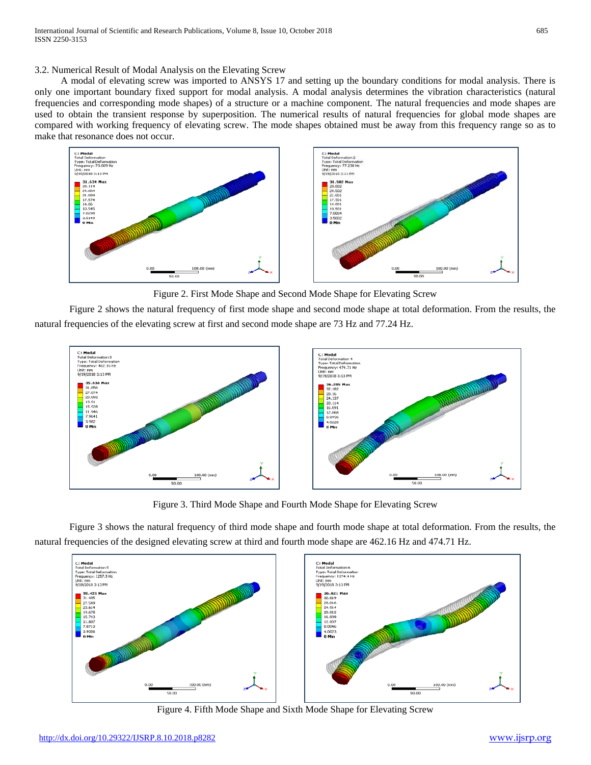3.2. Numerical Result of Modal Analysis on the Elevating Screw

A modal of elevating screw was imported to ANSYS 17 and setting up the boundary conditions for modal analysis. There is only one important boundary fixed support for modal analysis. A modal analysis determines the vibration characteristics (natural frequencies and corresponding mode shapes) of a structure or a machine component. The natural frequencies and mode shapes are used to obtain the transient response by superposition. The numerical results of natural frequencies for global mode shapes are compared with working frequency of elevating screw. The mode shapes obtained must be away from this frequency range so as to make that resonance does not occur.



Figure 2. First Mode Shape and Second Mode Shape for Elevating Screw

Figure 2 shows the natural frequency of first mode shape and second mode shape at total deformation. From the results, the natural frequencies of the elevating screw at first and second mode shape are 73 Hz and 77.24 Hz.



Figure 3. Third Mode Shape and Fourth Mode Shape for Elevating Screw

Figure 3 shows the natural frequency of third mode shape and fourth mode shape at total deformation. From the results, the natural frequencies of the designed elevating screw at third and fourth mode shape are 462.16 Hz and 474.71 Hz.



Figure 4. Fifth Mode Shape and Sixth Mode Shape for Elevating Screw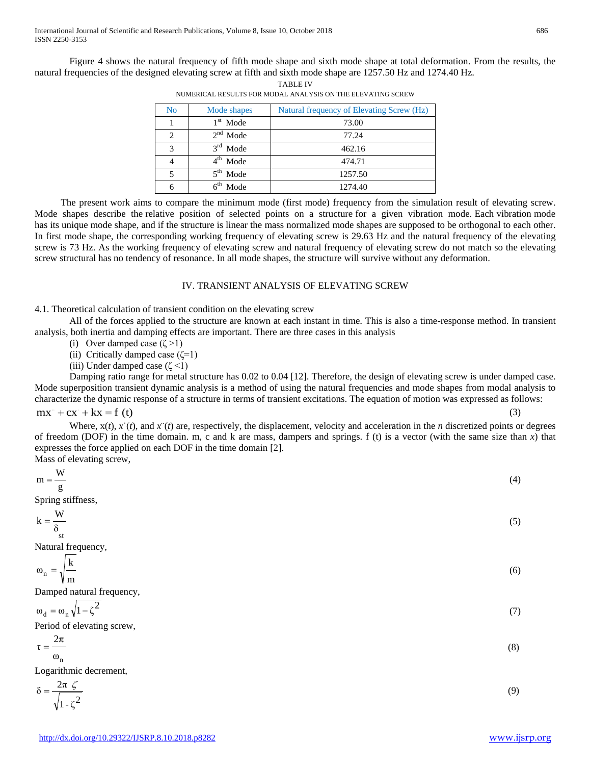Figure 4 shows the natural frequency of fifth mode shape and sixth mode shape at total deformation. From the results, the natural frequencies of the designed elevating screw at fifth and sixth mode shape are 1257.50 Hz and 1274.40 Hz.

| No | Mode shapes | Natural frequency of Elevating Screw (Hz) |
|----|-------------|-------------------------------------------|
|    | $1st$ Mode  | 73.00                                     |
| 2  | $2nd$ Mode  | 77.24                                     |
| 3  | $3rd$ Mode  | 462.16                                    |
|    | $4th$ Mode  | 474.71                                    |
|    | $5th$ Mode  | 1257.50                                   |
| 6  | Mode        | 1274.40                                   |
|    |             |                                           |

TABLE IV NUMERICAL RESULTS FOR MODAL ANALYSIS ON THE ELEVATING SCREW

The present work aims to compare the minimum mode (first mode) frequency from the simulation result of elevating screw. Mode shapes describe the relative position of selected points on a structure for a given vibration mode. Each vibration mode has its unique mode shape, and if the structure is linear the mass normalized mode shapes are supposed to be orthogonal to each other. In first mode shape, the corresponding working frequency of elevating screw is 29.63 Hz and the natural frequency of the elevating screw is 73 Hz. As the working frequency of elevating screw and natural frequency of elevating screw do not match so the elevating screw structural has no tendency of resonance. In all mode shapes, the structure will survive without any deformation.

### IV. TRANSIENT ANALYSIS OF ELEVATING SCREW

4.1. Theoretical calculation of transient condition on the elevating screw

All of the forces applied to the structure are known at each instant in time. This is also a time-response method. In transient analysis, both inertia and damping effects are important. There are three cases in this analysis

- (i) Over damped case  $(\zeta > 1)$
- (ii) Critically damped case  $(\zeta=1)$
- (iii) Under damped case ( $\zeta$  <1)

Damping ratio range for metal structure has 0.02 to 0.04 [12]. Therefore, the design of elevating screw is under damped case. Mode superposition transient dynamic analysis is a method of using the natural frequencies and mode shapes from modal analysis to characterize the dynamic response of a structure in terms of transient excitations. The equation of motion was expressed as follows: (3)

#### $mx^{2} + cx + kx = f(t)$

Where,  $x(t)$ ,  $\dot{x}(t)$ , and  $\dot{x}(t)$  are, respectively, the displacement, velocity and acceleration in the *n* discretized points or degrees of freedom (DOF) in the time domain. m, c and k are mass, dampers and springs. f (t) is a vector (with the same size than  $x$ ) that expresses the force applied on each DOF in the time domain [2]. Mass of elevating screw,

| $m = \frac{W}{g}$                                           | (4) |
|-------------------------------------------------------------|-----|
|                                                             |     |
| Spring stiffness,                                           |     |
| $\label{eq:1} \mathbf{k} = \frac{\mathbf{W}}{\delta}$<br>st | (5) |
| Natural frequency,                                          |     |
| $\omega_n = \sqrt{\frac{k}{m}}$                             | (6) |
| Damped natural frequency,                                   |     |
| $\omega_d = \omega_n \sqrt{1 - \zeta^2}$                    | (7) |
| Period of elevating screw,                                  |     |
| $\tau=\frac{2\pi}{\vphantom{\frac{1}{1}}}$                  | (8) |
| $\omega_{n}$                                                |     |
| Logarithmic decrement,                                      |     |
| $\delta = \frac{2\pi \zeta}{\sqrt{2\pi \zeta}}$             | (9) |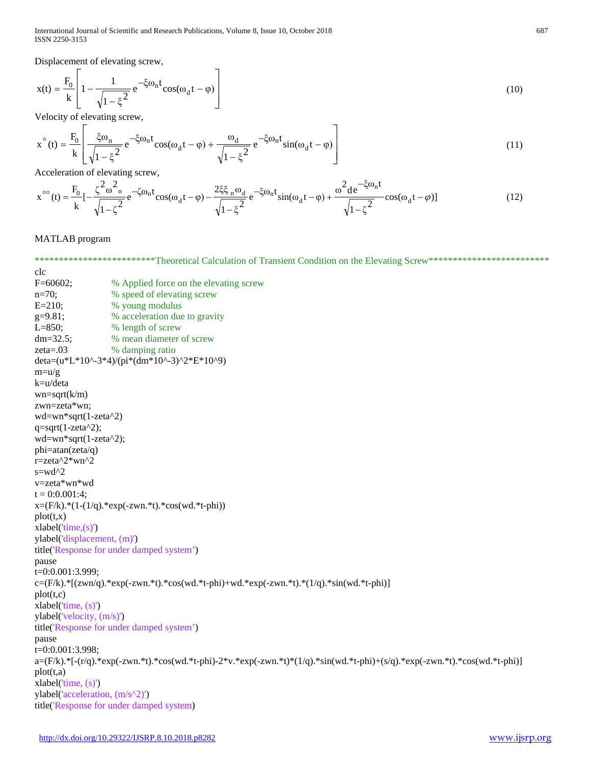International Journal of Scientific and Research Publications, Volume 8, Issue 10, October 2018 687 ISSN 2250-3153

 $\overline{\phantom{0}}$ 

Displacement of elevating screw,

$$
x(t) = \frac{F_0}{k} \left[ 1 - \frac{1}{\sqrt{1 - \xi^2}} e^{-\xi \omega_n t} \cos(\omega_d t - \varphi) \right]
$$
(10)

Velocity of elevating screw,

$$
x^{\circ}(t) = \frac{F_0}{k} \left[ \frac{\xi \omega_n}{\sqrt{1 - \xi^2}} e^{-\xi \omega_n t} \cos(\omega_d t - \varphi) + \frac{\omega_d}{\sqrt{1 - \xi^2}} e^{-\xi \omega_n t} \sin(\omega_d t - \varphi) \right]
$$
(11)

Acceleration of elevating screw,

$$
x^{\infty}(t) = \frac{F_0}{k} \left[ -\frac{\zeta^2 \omega_{n}^2}{\sqrt{1 - \zeta^2}} e^{-\zeta \omega_n t} \cos(\omega_d t - \varphi) - \frac{2\xi \xi_n \omega_d}{\sqrt{1 - \xi^2}} e^{-\zeta \omega_n t} \sin(\omega_d t - \varphi) + \frac{\omega^2 d e^{-\zeta \omega_n t}}{\sqrt{1 - \zeta^2}} \cos(\omega_d t - \varphi) \right]
$$
(12)

MATLAB program

\*\*\*\*\*\*\*\*\*\*\*\*\*\*\*\*\*\*\*\*\*\*\*\*Theoretical Calculation of Transient Condition on the Elevating Screw\*\*\*\*\*\*\*\*\*\*\*\*\*\*\*\*\*\*\*\*\*\*\*\*\*\*\* clc F=60602; % Applied force on the elevating screw n=70; % speed of elevating screw E=210; % young modulus g=9.81; % acceleration due to gravity L=850; % length of screw dm=32.5; % mean diameter of screw zeta=.03 % damping ratio deta=(u\*L\*10^-3\*4)/(pi\*(dm\*10^-3)^2\*E\*10^9)  $m=$ u/g k=u/deta  $wn = sqrt(k/m)$ zwn=zeta\*wn; wd=wn\*sqrt(1-zeta^2) q=sqrt(1-zeta $\alpha$ 2); wd=wn\*sqrt(1-zeta^2); phi=atan(zeta/q) r=zeta^2\*wn^2  $s = wd^2$ v=zeta\*wn\*wd  $t = 0:0.001:4;$  $x=(F/k)^*(1-(1/q))^*\exp(-zwn.*t)*cos(wd.*t-phi))$  $plot(t, x)$  $xlabel('time,(s))$ ylabel('displacement, (m)') title('Response for under damped system') pause t=0:0.001:3.999;  $c=(F/k)*(zwn/q).*exp(-zwn.*t).*cos(wd.*t-ph)+wd.*exp(-zwn.*t).*(1/q).*sin(wd.*t-ph))$ plot(t,c) xlabel('time, (s)') ylabel('velocity, (m/s)') title('Response for under damped system') pause t=0:0.001:3.998; a=(F/k).\*[-(r/q).\*exp(-zwn.\*t).\*cos(wd.\*t-phi)-2\*v.\*exp(-zwn.\*t)\*(1/q).\*sin(wd.\*t-phi)+(s/q).\*exp(-zwn.\*t).\*cos(wd.\*t-phi)] plot(t,a) xlabel('time, (s)') ylabel('acceleration, (m/s^2)') title('Response for under damped system)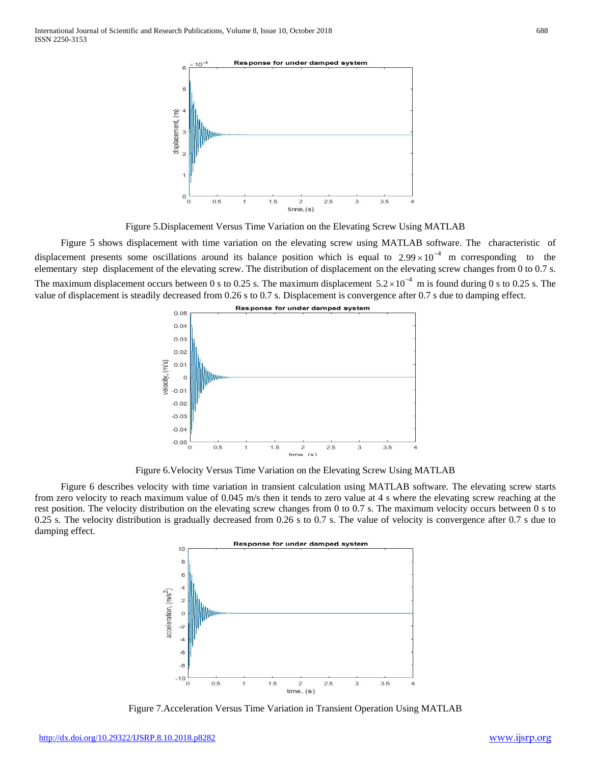International Journal of Scientific and Research Publications, Volume 8, Issue 10, October 2018 688 ISSN 2250-3153



Figure 5.Displacement Versus Time Variation on the Elevating Screw Using MATLAB

Figure 5 shows displacement with time variation on the elevating screw using MATLAB software. The characteristic of displacement presents some oscillations around its balance position which is equal to  $2.99 \times 10^{-4}$  m corresponding to the elementary step displacement of the elevating screw. The distribution of displacement on the elevating screw changes from 0 to 0.7 s. The maximum displacement occurs between 0 s to 0.25 s. The maximum displacement  $5.2 \times 10^{-4}$  m is found during 0 s to 0.25 s. The value of displacement is steadily decreased from 0.26 s to 0.7 s. Displacement is convergence after 0.7 s due to damping effect.



Figure 6.Velocity Versus Time Variation on the Elevating Screw Using MATLAB

Figure 6 describes velocity with time variation in transient calculation using MATLAB software. The elevating screw starts from zero velocity to reach maximum value of 0.045 m/s then it tends to zero value at 4 s where the elevating screw reaching at the rest position. The velocity distribution on the elevating screw changes from 0 to 0.7 s. The maximum velocity occurs between 0 s to 0.25 s. The velocity distribution is gradually decreased from 0.26 s to 0.7 s. The value of velocity is convergence after 0.7 s due to damping effect.



Figure 7.Acceleration Versus Time Variation in Transient Operation Using MATLAB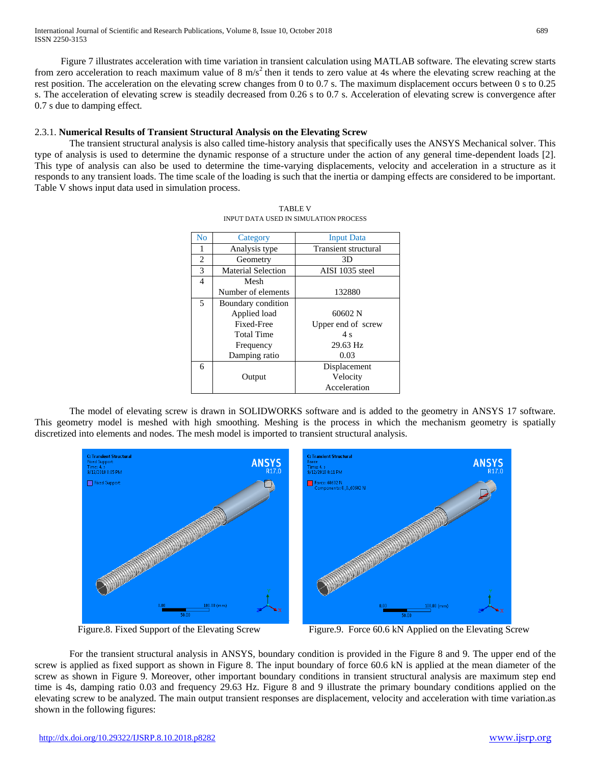International Journal of Scientific and Research Publications, Volume 8, Issue 10, October 2018 689 ISSN 2250-3153

Figure 7 illustrates acceleration with time variation in transient calculation using MATLAB software. The elevating screw starts from zero acceleration to reach maximum value of 8  $\text{m/s}^2$  then it tends to zero value at 4s where the elevating screw reaching at the rest position. The acceleration on the elevating screw changes from 0 to 0.7 s. The maximum displacement occurs between 0 s to 0.25 s. The acceleration of elevating screw is steadily decreased from 0.26 s to 0.7 s. Acceleration of elevating screw is convergence after 0.7 s due to damping effect.

# 2.3.1. **Numerical Results of Transient Structural Analysis on the Elevating Screw**

The transient structural analysis is also called time-history analysis that specifically uses the ANSYS Mechanical solver. This type of analysis is used to determine the dynamic response of a structure under the action of any general time-dependent loads [2]. This type of analysis can also be used to determine the time-varying displacements, velocity and acceleration in a structure as it responds to any transient loads. The time scale of the loading is such that the inertia or damping effects are considered to be important. Table V shows input data used in simulation process.

| No             | Category                  | <b>Input Data</b>           |
|----------------|---------------------------|-----------------------------|
| 1              | Analysis type             | <b>Transient structural</b> |
| 2              | Geometry                  | 3D                          |
| 3              | <b>Material Selection</b> | AISI 1035 steel             |
| $\overline{4}$ | Mesh                      |                             |
|                | Number of elements        | 132880                      |
| 5              | Boundary condition        |                             |
|                | Applied load              | 60602 N                     |
|                | Fixed-Free                | Upper end of screw          |
|                | Total Time                | 4 s                         |
|                | Frequency                 | 29.63 Hz                    |
|                | Damping ratio             | 0.03                        |
| 6              |                           | Displacement                |
|                | Output                    | Velocity                    |
|                |                           | Acceleration                |

TABLE V INPUT DATA USED IN SIMULATION PROCESS

The model of elevating screw is drawn in SOLIDWORKS software and is added to the geometry in ANSYS 17 software. This geometry model is meshed with high smoothing. Meshing is the process in which the mechanism geometry is spatially discretized into elements and nodes. The mesh model is imported to transient structural analysis.



Figure.8. Fixed Support of the Elevating ScrewFigure.9. Force 60.6 kN Applied on the Elevating Screw

For the transient structural analysis in ANSYS, boundary condition is provided in the Figure 8 and 9. The upper end of the screw is applied as fixed support as shown in Figure 8. The input boundary of force 60.6 kN is applied at the mean diameter of the screw as shown in Figure 9. Moreover, other important boundary conditions in transient structural analysis are maximum step end time is 4s, damping ratio 0.03 and frequency 29.63 Hz. Figure 8 and 9 illustrate the primary boundary conditions applied on the elevating screw to be analyzed. The main output transient responses are displacement, velocity and acceleration with time variation.as shown in the following figures: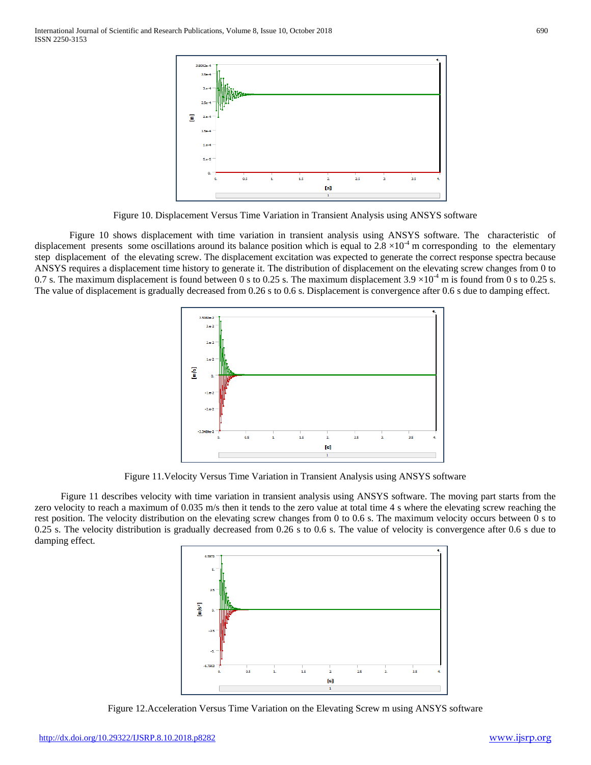

Figure 10. Displacement Versus Time Variation in Transient Analysis using ANSYS software

Figure 10 shows displacement with time variation in transient analysis using ANSYS software. The characteristic of displacement presents some oscillations around its balance position which is equal to 2.8  $\times 10^{-4}$  m corresponding to the elementary step displacement of the elevating screw. The displacement excitation was expected to generate the correct response spectra because ANSYS requires a displacement time history to generate it. The distribution of displacement on the elevating screw changes from 0 to 0.7 s. The maximum displacement is found between 0 s to 0.25 s. The maximum displacement  $3.9 \times 10^{-4}$  m is found from 0 s to 0.25 s. The value of displacement is gradually decreased from 0.26 s to 0.6 s. Displacement is convergence after 0.6 s due to damping effect.



Figure 11.Velocity Versus Time Variation in Transient Analysis using ANSYS software

Figure 11 describes velocity with time variation in transient analysis using ANSYS software. The moving part starts from the zero velocity to reach a maximum of 0.035 m/s then it tends to the zero value at total time 4 s where the elevating screw reaching the rest position. The velocity distribution on the elevating screw changes from 0 to 0.6 s. The maximum velocity occurs between 0 s to 0.25 s. The velocity distribution is gradually decreased from 0.26 s to 0.6 s. The value of velocity is convergence after 0.6 s due to damping effect.



Figure 12 .Acceleration Versus Time Variation on the Elevating Screw m using ANSYS software